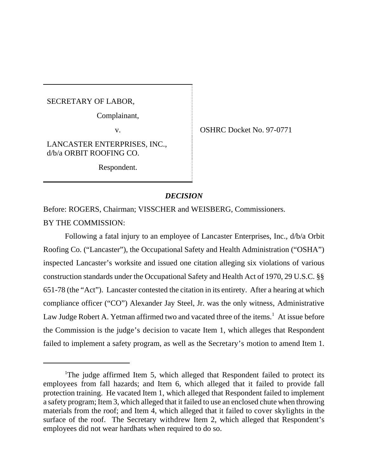SECRETARY OF LABOR,

ı

Complainant,

v. SHRC Docket No. 97-0771

LANCASTER ENTERPRISES, INC., d/b/a ORBIT ROOFING CO.

Respondent.

## *DECISION*

Before: ROGERS, Chairman; VISSCHER and WEISBERG, Commissioners.

BY THE COMMISSION:

Following a fatal injury to an employee of Lancaster Enterprises, Inc., d/b/a Orbit Roofing Co. ("Lancaster"), the Occupational Safety and Health Administration ("OSHA") inspected Lancaster's worksite and issued one citation alleging six violations of various construction standards under the Occupational Safety and Health Act of 1970, 29 U.S.C. §§ 651-78 (the "Act"). Lancaster contested the citation in its entirety. After a hearing at which compliance officer ("CO") Alexander Jay Steel, Jr. was the only witness, Administrative Law Judge Robert A. Yetman affirmed two and vacated three of the items.<sup>1</sup> At issue before the Commission is the judge's decision to vacate Item 1, which alleges that Respondent failed to implement a safety program, as well as the Secretary's motion to amend Item 1.

<sup>&</sup>lt;sup>1</sup>The judge affirmed Item 5, which alleged that Respondent failed to protect its employees from fall hazards; and Item 6, which alleged that it failed to provide fall protection training. He vacated Item 1, which alleged that Respondent failed to implement a safety program; Item 3, which alleged that it failed to use an enclosed chute when throwing materials from the roof; and Item 4, which alleged that it failed to cover skylights in the surface of the roof. The Secretary withdrew Item 2, which alleged that Respondent's employees did not wear hardhats when required to do so.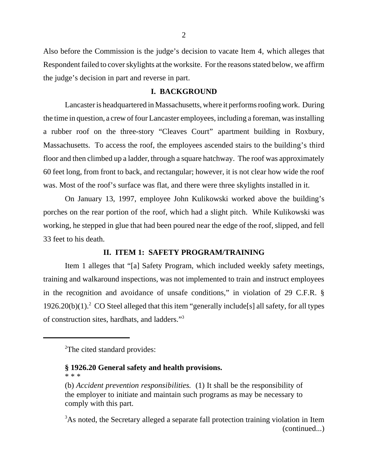Also before the Commission is the judge's decision to vacate Item 4, which alleges that Respondent failed to cover skylights at the worksite. For the reasons stated below, we affirm the judge's decision in part and reverse in part.

#### **I. BACKGROUND**

Lancaster is headquartered in Massachusetts, where it performs roofing work. During the time in question, a crew of four Lancaster employees, including a foreman, was installing a rubber roof on the three-story "Cleaves Court" apartment building in Roxbury, Massachusetts. To access the roof, the employees ascended stairs to the building's third floor and then climbed up a ladder, through a square hatchway. The roof was approximately 60 feet long, from front to back, and rectangular; however, it is not clear how wide the roof was. Most of the roof's surface was flat, and there were three skylights installed in it.

On January 13, 1997, employee John Kulikowski worked above the building's porches on the rear portion of the roof, which had a slight pitch. While Kulikowski was working, he stepped in glue that had been poured near the edge of the roof, slipped, and fell 33 feet to his death.

## **II. ITEM 1: SAFETY PROGRAM/TRAINING**

Item 1 alleges that "[a] Safety Program, which included weekly safety meetings, training and walkaround inspections, was not implemented to train and instruct employees in the recognition and avoidance of unsafe conditions," in violation of 29 C.F.R. §  $1926.20(b)(1).$ <sup>2</sup> CO Steel alleged that this item "generally include[s] all safety, for all types of construction sites, hardhats, and ladders."3

# **§ 1926.20 General safety and health provisions.**

\* \* \*

<sup>&</sup>lt;sup>2</sup>The cited standard provides:

<sup>(</sup>b) *Accident prevention responsibilities.* (1) It shall be the responsibility of the employer to initiate and maintain such programs as may be necessary to comply with this part.

 $3$ As noted, the Secretary alleged a separate fall protection training violation in Item (continued...)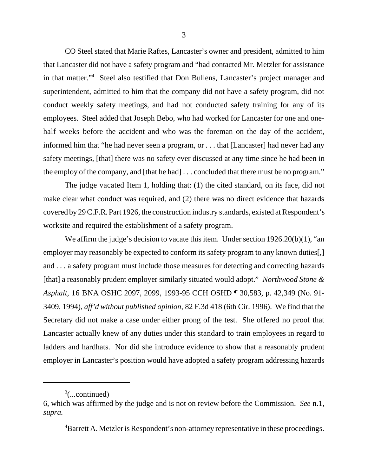CO Steel stated that Marie Raftes, Lancaster's owner and president, admitted to him that Lancaster did not have a safety program and "had contacted Mr. Metzler for assistance in that matter."4 Steel also testified that Don Bullens, Lancaster's project manager and superintendent, admitted to him that the company did not have a safety program, did not conduct weekly safety meetings, and had not conducted safety training for any of its employees. Steel added that Joseph Bebo, who had worked for Lancaster for one and onehalf weeks before the accident and who was the foreman on the day of the accident, informed him that "he had never seen a program, or . . . that [Lancaster] had never had any safety meetings, [that] there was no safety ever discussed at any time since he had been in the employ of the company, and [that he had] . . . concluded that there must be no program."

The judge vacated Item 1, holding that: (1) the cited standard, on its face, did not make clear what conduct was required, and (2) there was no direct evidence that hazards covered by 29 C.F.R. Part 1926, the construction industry standards, existed at Respondent's worksite and required the establishment of a safety program.

We affirm the judge's decision to vacate this item. Under section 1926.20(b)(1), "an employer may reasonably be expected to conform its safety program to any known duties. and . . . a safety program must include those measures for detecting and correcting hazards [that] a reasonably prudent employer similarly situated would adopt." *Northwood Stone & Asphalt,* 16 BNA OSHC 2097, 2099, 1993-95 CCH OSHD ¶ 30,583, p. 42,349 (No. 91- 3409, 1994), *aff'd without published opinion,* 82 F.3d 418 (6th Cir. 1996). We find that the Secretary did not make a case under either prong of the test. She offered no proof that Lancaster actually knew of any duties under this standard to train employees in regard to ladders and hardhats. Nor did she introduce evidence to show that a reasonably prudent employer in Lancaster's position would have adopted a safety program addressing hazards

<sup>4</sup>Barrett A. Metzler is Respondent's non-attorney representative in these proceedings.

 $\alpha^3$ (...continued)

<sup>6,</sup> which was affirmed by the judge and is not on review before the Commission. *See* n.1, *supra.*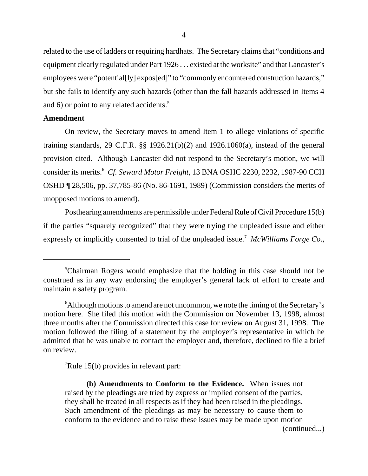related to the use of ladders or requiring hardhats. The Secretary claims that "conditions and equipment clearly regulated under Part 1926 . . . existed at the worksite" and that Lancaster's employees were "potential[ly] expos[ed]" to "commonly encountered construction hazards," but she fails to identify any such hazards (other than the fall hazards addressed in Items 4 and 6) or point to any related accidents.<sup>5</sup>

## **Amendment**

On review, the Secretary moves to amend Item 1 to allege violations of specific training standards, 29 C.F.R.  $\S$  1926.21(b)(2) and 1926.1060(a), instead of the general provision cited. Although Lancaster did not respond to the Secretary's motion, we will consider its merits.<sup>6</sup> *Cf. Seward Motor Freight,* 13 BNA OSHC 2230, 2232, 1987-90 CCH OSHD ¶ 28,506, pp. 37,785-86 (No. 86-1691, 1989) (Commission considers the merits of unopposed motions to amend).

Posthearing amendments are permissible under Federal Rule of Civil Procedure 15(b) if the parties "squarely recognized" that they were trying the unpleaded issue and either expressly or implicitly consented to trial of the unpleaded issue.<sup>7</sup> McWilliams Forge Co.,

 $\sqrt{7}$ Rule 15(b) provides in relevant part:

**(b) Amendments to Conform to the Evidence.** When issues not raised by the pleadings are tried by express or implied consent of the parties, they shall be treated in all respects as if they had been raised in the pleadings. Such amendment of the pleadings as may be necessary to cause them to conform to the evidence and to raise these issues may be made upon motion

(continued...)

<sup>&</sup>lt;sup>5</sup>Chairman Rogers would emphasize that the holding in this case should not be construed as in any way endorsing the employer's general lack of effort to create and maintain a safety program.

 $6$ Although motions to amend are not uncommon, we note the timing of the Secretary's motion here. She filed this motion with the Commission on November 13, 1998, almost three months after the Commission directed this case for review on August 31, 1998. The motion followed the filing of a statement by the employer's representative in which he admitted that he was unable to contact the employer and, therefore, declined to file a brief on review.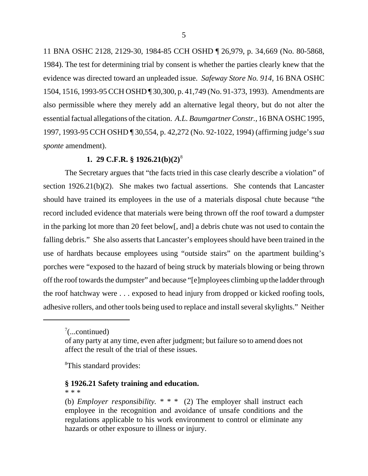11 BNA OSHC 2128, 2129-30, 1984-85 CCH OSHD ¶ 26,979, p. 34,669 (No. 80-5868, 1984). The test for determining trial by consent is whether the parties clearly knew that the evidence was directed toward an unpleaded issue. *Safeway Store No. 914,* 16 BNA OSHC 1504, 1516, 1993-95 CCH OSHD ¶ 30,300, p. 41,749 (No. 91-373, 1993). Amendments are also permissible where they merely add an alternative legal theory, but do not alter the essential factual allegations of the citation. *A.L. Baumgartner Constr.,* 16 BNA OSHC 1995, 1997, 1993-95 CCH OSHD ¶ 30,554, p. 42,272 (No. 92-1022, 1994) (affirming judge's *sua sponte* amendment).

# **1. 29 C.F.R. § 1926.21(b)(2)**<sup>8</sup>

The Secretary argues that "the facts tried in this case clearly describe a violation" of section 1926.21(b)(2). She makes two factual assertions. She contends that Lancaster should have trained its employees in the use of a materials disposal chute because "the record included evidence that materials were being thrown off the roof toward a dumpster in the parking lot more than 20 feet below[, and] a debris chute was not used to contain the falling debris." She also asserts that Lancaster's employees should have been trained in the use of hardhats because employees using "outside stairs" on the apartment building's porches were "exposed to the hazard of being struck by materials blowing or being thrown off the roof towards the dumpster" and because "[e]mployees climbing up the ladder through the roof hatchway were . . . exposed to head injury from dropped or kicked roofing tools, adhesive rollers, and other tools being used to replace and install several skylights." Neither

<sup>8</sup>This standard provides:

## **§ 1926.21 Safety training and education.**

\* \* \*

 $7$ (...continued)

of any party at any time, even after judgment; but failure so to amend does not affect the result of the trial of these issues.

<sup>(</sup>b) *Employer responsibility. \* \* \** (2) The employer shall instruct each employee in the recognition and avoidance of unsafe conditions and the regulations applicable to his work environment to control or eliminate any hazards or other exposure to illness or injury.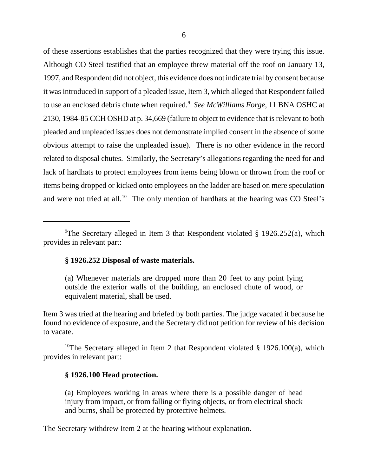of these assertions establishes that the parties recognized that they were trying this issue. Although CO Steel testified that an employee threw material off the roof on January 13, 1997, and Respondent did not object, this evidence does not indicate trial by consent because it was introduced in support of a pleaded issue, Item 3, which alleged that Respondent failed to use an enclosed debris chute when required.<sup>9</sup> See McWilliams Forge, 11 BNA OSHC at 2130, 1984-85 CCH OSHD at p. 34,669 (failure to object to evidence that is relevant to both pleaded and unpleaded issues does not demonstrate implied consent in the absence of some obvious attempt to raise the unpleaded issue). There is no other evidence in the record related to disposal chutes. Similarly, the Secretary's allegations regarding the need for and lack of hardhats to protect employees from items being blown or thrown from the roof or items being dropped or kicked onto employees on the ladder are based on mere speculation and were not tried at all.<sup>10</sup> The only mention of hardhats at the hearing was CO Steel's

#### **§ 1926.252 Disposal of waste materials.**

Item 3 was tried at the hearing and briefed by both parties. The judge vacated it because he found no evidence of exposure, and the Secretary did not petition for review of his decision to vacate.

<sup>10</sup>The Secretary alleged in Item 2 that Respondent violated § 1926.100(a), which provides in relevant part:

## **§ 1926.100 Head protection.**

(a) Employees working in areas where there is a possible danger of head injury from impact, or from falling or flying objects, or from electrical shock and burns, shall be protected by protective helmets.

The Secretary withdrew Item 2 at the hearing without explanation.

<sup>&</sup>lt;sup>9</sup>The Secretary alleged in Item 3 that Respondent violated § 1926.252(a), which provides in relevant part:

<sup>(</sup>a) Whenever materials are dropped more than 20 feet to any point lying outside the exterior walls of the building, an enclosed chute of wood, or equivalent material, shall be used.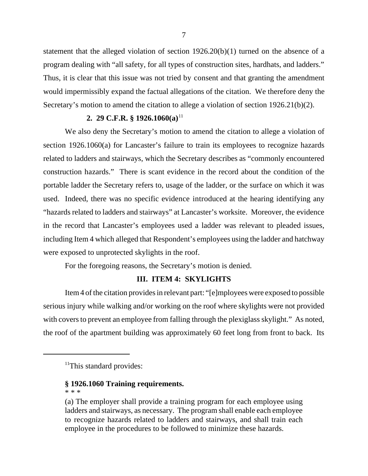statement that the alleged violation of section 1926.20(b)(1) turned on the absence of a program dealing with "all safety, for all types of construction sites, hardhats, and ladders." Thus, it is clear that this issue was not tried by consent and that granting the amendment would impermissibly expand the factual allegations of the citation. We therefore deny the Secretary's motion to amend the citation to allege a violation of section 1926.21(b)(2).

## **2. 29 C.F.R. § 1926.1060(a)**<sup>11</sup>

We also deny the Secretary's motion to amend the citation to allege a violation of section 1926.1060(a) for Lancaster's failure to train its employees to recognize hazards related to ladders and stairways, which the Secretary describes as "commonly encountered construction hazards." There is scant evidence in the record about the condition of the portable ladder the Secretary refers to, usage of the ladder, or the surface on which it was used. Indeed, there was no specific evidence introduced at the hearing identifying any "hazards related to ladders and stairways" at Lancaster's worksite. Moreover, the evidence in the record that Lancaster's employees used a ladder was relevant to pleaded issues, including Item 4 which alleged that Respondent's employees using the ladder and hatchway were exposed to unprotected skylights in the roof.

For the foregoing reasons, the Secretary's motion is denied.

# **III. ITEM 4: SKYLIGHTS**

Item 4 of the citation provides in relevant part: "[e]mployees were exposed to possible serious injury while walking and/or working on the roof where skylights were not provided with covers to prevent an employee from falling through the plexiglass skylight." As noted, the roof of the apartment building was approximately 60 feet long from front to back. Its

## **§ 1926.1060 Training requirements.**

\* \* \*

 $<sup>11</sup>$ This standard provides:</sup>

<sup>(</sup>a) The employer shall provide a training program for each employee using ladders and stairways, as necessary. The program shall enable each employee to recognize hazards related to ladders and stairways, and shall train each employee in the procedures to be followed to minimize these hazards.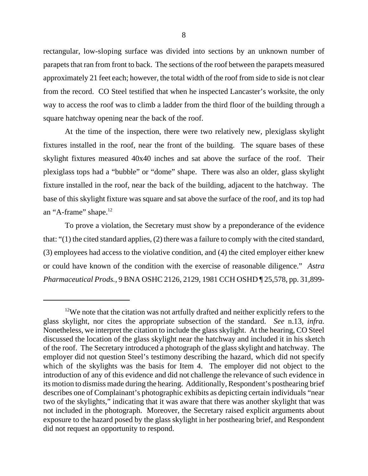rectangular, low-sloping surface was divided into sections by an unknown number of parapets that ran from front to back. The sections of the roof between the parapets measured approximately 21 feet each; however, the total width of the roof from side to side is not clear from the record. CO Steel testified that when he inspected Lancaster's worksite, the only way to access the roof was to climb a ladder from the third floor of the building through a square hatchway opening near the back of the roof.

At the time of the inspection, there were two relatively new, plexiglass skylight fixtures installed in the roof, near the front of the building. The square bases of these skylight fixtures measured 40x40 inches and sat above the surface of the roof. Their plexiglass tops had a "bubble" or "dome" shape. There was also an older, glass skylight fixture installed in the roof, near the back of the building, adjacent to the hatchway. The base of this skylight fixture was square and sat above the surface of the roof, and its top had an "A-frame" shape.<sup>12</sup>

To prove a violation, the Secretary must show by a preponderance of the evidence that: "(1) the cited standard applies, (2) there was a failure to comply with the cited standard, (3) employees had access to the violative condition, and (4) the cited employer either knew or could have known of the condition with the exercise of reasonable diligence." *Astra Pharmaceutical Prods.,* 9 BNA OSHC 2126, 2129, 1981 CCH OSHD ¶ 25,578, pp. 31,899-

 $12$ We note that the citation was not artfully drafted and neither explicitly refers to the glass skylight, nor cites the appropriate subsection of the standard. *See* n.13, *infra.* Nonetheless, we interpret the citation to include the glass skylight. At the hearing, CO Steel discussed the location of the glass skylight near the hatchway and included it in his sketch of the roof. The Secretary introduced a photograph of the glass skylight and hatchway. The employer did not question Steel's testimony describing the hazard, which did not specify which of the skylights was the basis for Item 4. The employer did not object to the introduction of any of this evidence and did not challenge the relevance of such evidence in its motion to dismiss made during the hearing. Additionally, Respondent's posthearing brief describes one of Complainant's photographic exhibits as depicting certain individuals "near two of the skylights," indicating that it was aware that there was another skylight that was not included in the photograph. Moreover, the Secretary raised explicit arguments about exposure to the hazard posed by the glass skylight in her posthearing brief, and Respondent did not request an opportunity to respond.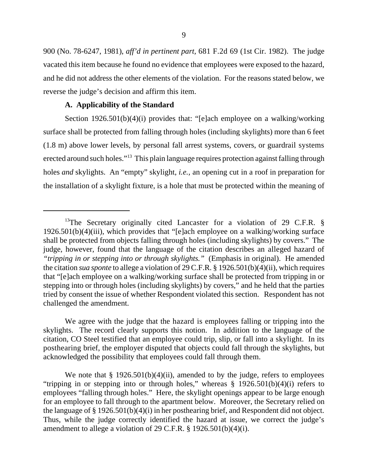900 (No. 78-6247, 1981), *aff'd in pertinent part,* 681 F.2d 69 (1st Cir. 1982). The judge vacated this item because he found no evidence that employees were exposed to the hazard, and he did not address the other elements of the violation. For the reasons stated below, we reverse the judge's decision and affirm this item.

## **A. Applicability of the Standard**

Section 1926.501(b)(4)(i) provides that: "[e]ach employee on a walking/working surface shall be protected from falling through holes (including skylights) more than 6 feet (1.8 m) above lower levels, by personal fall arrest systems, covers, or guardrail systems erected around such holes."<sup>13</sup> This plain language requires protection against falling through holes *and* skylights. An "empty" skylight, *i.e.,* an opening cut in a roof in preparation for the installation of a skylight fixture, is a hole that must be protected within the meaning of

We agree with the judge that the hazard is employees falling or tripping into the skylights. The record clearly supports this notion. In addition to the language of the citation, CO Steel testified that an employee could trip, slip, or fall into a skylight. In its posthearing brief, the employer disputed that objects could fall through the skylights, but acknowledged the possibility that employees could fall through them.

We note that  $\S 1926.501(b)(4)(ii)$ , amended to by the judge, refers to employees "tripping in or stepping into or through holes," whereas § 1926.501(b)(4)(i) refers to employees "falling through holes." Here, the skylight openings appear to be large enough for an employee to fall through to the apartment below. Moreover, the Secretary relied on the language of § 1926.501(b)(4)(i) in her posthearing brief, and Respondent did not object. Thus, while the judge correctly identified the hazard at issue, we correct the judge's amendment to allege a violation of 29 C.F.R. § 1926.501(b)(4)(i).

<sup>&</sup>lt;sup>13</sup>The Secretary originally cited Lancaster for a violation of 29 C.F.R.  $\S$ 1926.501(b)(4)(iii), which provides that "[e]ach employee on a walking/working surface shall be protected from objects falling through holes (including skylights) by covers." The judge, however, found that the language of the citation describes an alleged hazard of *"tripping in or stepping into or through skylights."* (Emphasis in original). He amended the citation *sua sponte* to allege a violation of 29 C.F.R. § 1926.501(b)(4)(ii), which requires that "[e]ach employee on a walking/working surface shall be protected from tripping in or stepping into or through holes (including skylights) by covers," and he held that the parties tried by consent the issue of whether Respondent violated this section. Respondent has not challenged the amendment.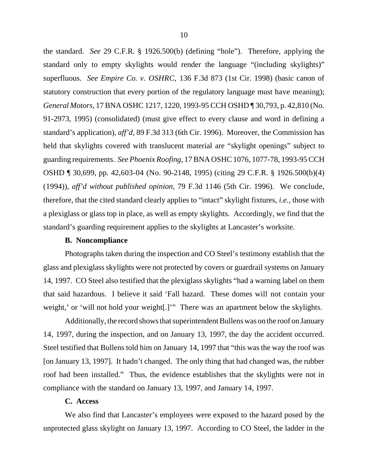the standard. *See* 29 C.F.R. § 1926.500(b) (defining "hole"). Therefore, applying the standard only to empty skylights would render the language "(including skylights)" superfluous. *See Empire Co. v. OSHRC,* 136 F.3d 873 (1st Cir. 1998) (basic canon of statutory construction that every portion of the regulatory language must have meaning); *General Motors,* 17 BNA OSHC 1217, 1220, 1993-95 CCH OSHD ¶ 30,793, p. 42,810 (No. 91-2973, 1995) (consolidated) (must give effect to every clause and word in defining a standard's application), *aff'd,* 89 F.3d 313 (6th Cir. 1996). Moreover, the Commission has held that skylights covered with translucent material are "skylight openings" subject to guarding requirements. *See Phoenix Roofing,* 17 BNA OSHC 1076, 1077-78, 1993-95 CCH OSHD ¶ 30,699, pp. 42,603-04 (No. 90-2148, 1995) (citing 29 C.F.R. § 1926.500(b)(4) (1994)), *aff'd without published opinion,* 79 F.3d 1146 (5th Cir. 1996). We conclude, therefore, that the cited standard clearly applies to "intact" skylight fixtures, *i.e.,* those with a plexiglass or glass top in place, as well as empty skylights. Accordingly, we find that the standard's guarding requirement applies to the skylights at Lancaster's worksite.

#### **B. Noncompliance**

Photographs taken during the inspection and CO Steel's testimony establish that the glass and plexiglass skylights were not protected by covers or guardrail systems on January 14, 1997. CO Steel also testified that the plexiglass skylights "had a warning label on them that said hazardous. I believe it said 'Fall hazard. These domes will not contain your weight,' or 'will not hold your weight...'" There was an apartment below the skylights.

Additionally, the record shows that superintendent Bullens was on the roof on January 14, 1997, during the inspection, and on January 13, 1997, the day the accident occurred. Steel testified that Bullens told him on January 14, 1997 that "this was the way the roof was [on January 13, 1997]. It hadn't changed. The only thing that had changed was, the rubber roof had been installed." Thus, the evidence establishes that the skylights were not in compliance with the standard on January 13, 1997, and January 14, 1997.

#### **C. Access**

We also find that Lancaster's employees were exposed to the hazard posed by the unprotected glass skylight on January 13, 1997. According to CO Steel, the ladder in the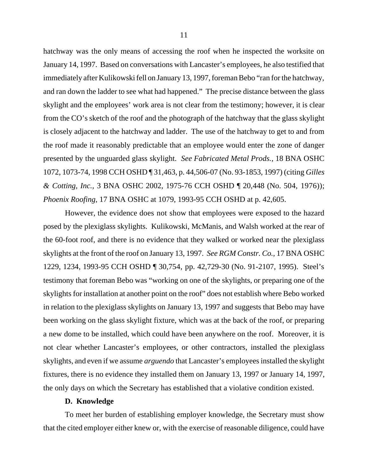hatchway was the only means of accessing the roof when he inspected the worksite on January 14, 1997. Based on conversations with Lancaster's employees, he also testified that immediately after Kulikowski fell on January 13, 1997, foreman Bebo "ran for the hatchway, and ran down the ladder to see what had happened." The precise distance between the glass skylight and the employees' work area is not clear from the testimony; however, it is clear from the CO's sketch of the roof and the photograph of the hatchway that the glass skylight is closely adjacent to the hatchway and ladder. The use of the hatchway to get to and from the roof made it reasonably predictable that an employee would enter the zone of danger presented by the unguarded glass skylight. *See Fabricated Metal Prods.,* 18 BNA OSHC 1072, 1073-74, 1998 CCH OSHD ¶ 31,463, p. 44,506-07 (No. 93-1853, 1997) (citing *Gilles & Cotting, Inc.,* 3 BNA OSHC 2002, 1975-76 CCH OSHD ¶ 20,448 (No. 504, 1976)); *Phoenix Roofing,* 17 BNA OSHC at 1079, 1993-95 CCH OSHD at p. 42,605.

However, the evidence does not show that employees were exposed to the hazard posed by the plexiglass skylights. Kulikowski, McManis, and Walsh worked at the rear of the 60-foot roof, and there is no evidence that they walked or worked near the plexiglass skylights at the front of the roof on January 13, 1997. *See RGM Constr. Co.,* 17 BNA OSHC 1229, 1234, 1993-95 CCH OSHD ¶ 30,754, pp. 42,729-30 (No. 91-2107, 1995). Steel's testimony that foreman Bebo was "working on one of the skylights, or preparing one of the skylights for installation at another point on the roof" does not establish where Bebo worked in relation to the plexiglass skylights on January 13, 1997 and suggests that Bebo may have been working on the glass skylight fixture, which was at the back of the roof, or preparing a new dome to be installed, which could have been anywhere on the roof. Moreover, it is not clear whether Lancaster's employees, or other contractors, installed the plexiglass skylights, and even if we assume *arguendo* that Lancaster's employees installed the skylight fixtures, there is no evidence they installed them on January 13, 1997 or January 14, 1997, the only days on which the Secretary has established that a violative condition existed.

#### **D. Knowledge**

To meet her burden of establishing employer knowledge, the Secretary must show that the cited employer either knew or, with the exercise of reasonable diligence, could have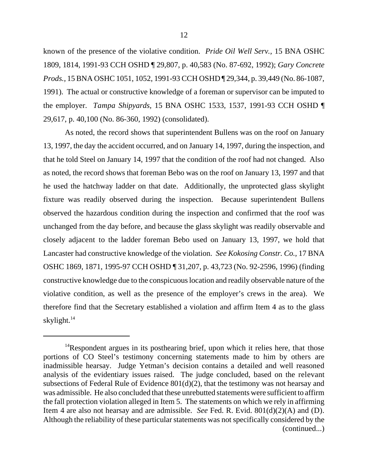known of the presence of the violative condition. *Pride Oil Well Serv.,* 15 BNA OSHC 1809, 1814, 1991-93 CCH OSHD ¶ 29,807, p. 40,583 (No. 87-692, 1992); *Gary Concrete Prods.,* 15 BNA OSHC 1051, 1052, 1991-93 CCH OSHD ¶ 29,344, p. 39,449 (No. 86-1087, 1991). The actual or constructive knowledge of a foreman or supervisor can be imputed to the employer. *Tampa Shipyards,* 15 BNA OSHC 1533, 1537, 1991-93 CCH OSHD ¶ 29,617, p. 40,100 (No. 86-360, 1992) (consolidated).

As noted, the record shows that superintendent Bullens was on the roof on January 13, 1997, the day the accident occurred, and on January 14, 1997, during the inspection, and that he told Steel on January 14, 1997 that the condition of the roof had not changed. Also as noted, the record shows that foreman Bebo was on the roof on January 13, 1997 and that he used the hatchway ladder on that date. Additionally, the unprotected glass skylight fixture was readily observed during the inspection. Because superintendent Bullens observed the hazardous condition during the inspection and confirmed that the roof was unchanged from the day before, and because the glass skylight was readily observable and closely adjacent to the ladder foreman Bebo used on January 13, 1997, we hold that Lancaster had constructive knowledge of the violation. *See Kokosing Constr. Co.,* 17 BNA OSHC 1869, 1871, 1995-97 CCH OSHD ¶ 31,207, p. 43,723 (No. 92-2596, 1996) (finding constructive knowledge due to the conspicuous location and readily observable nature of the violative condition, as well as the presence of the employer's crews in the area). We therefore find that the Secretary established a violation and affirm Item 4 as to the glass skylight.14

 $14$ Respondent argues in its posthearing brief, upon which it relies here, that those portions of CO Steel's testimony concerning statements made to him by others are inadmissible hearsay. Judge Yetman's decision contains a detailed and well reasoned analysis of the evidentiary issues raised. The judge concluded, based on the relevant subsections of Federal Rule of Evidence 801(d)(2), that the testimony was not hearsay and was admissible. He also concluded that these unrebutted statements were sufficient to affirm the fall protection violation alleged in Item 5. The statements on which we rely in affirming Item 4 are also not hearsay and are admissible. *See* Fed. R. Evid. 801(d)(2)(A) and (D). Although the reliability of these particular statements was not specifically considered by the (continued...)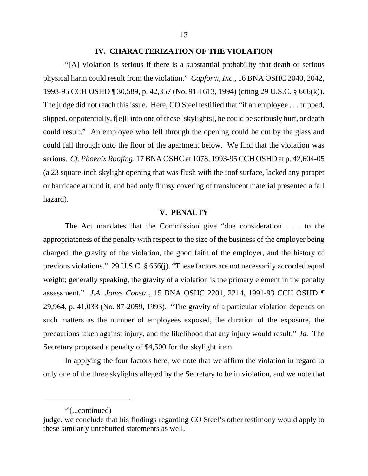#### **IV. CHARACTERIZATION OF THE VIOLATION**

"[A] violation is serious if there is a substantial probability that death or serious physical harm could result from the violation." *Capform, Inc.,* 16 BNA OSHC 2040, 2042, 1993-95 CCH OSHD ¶ 30,589, p. 42,357 (No. 91-1613, 1994) (citing 29 U.S.C. § 666(k)). The judge did not reach this issue. Here, CO Steel testified that "if an employee . . . tripped, slipped, or potentially, f[e]ll into one of these [skylights], he could be seriously hurt, or death could result." An employee who fell through the opening could be cut by the glass and could fall through onto the floor of the apartment below. We find that the violation was serious. *Cf. Phoenix Roofing,* 17 BNA OSHC at 1078, 1993-95 CCH OSHD at p. 42,604-05 (a 23 square-inch skylight opening that was flush with the roof surface, lacked any parapet or barricade around it, and had only flimsy covering of translucent material presented a fall hazard).

## **V. PENALTY**

The Act mandates that the Commission give "due consideration . . . to the appropriateness of the penalty with respect to the size of the business of the employer being charged, the gravity of the violation, the good faith of the employer, and the history of previous violations." 29 U.S.C. § 666(j). "These factors are not necessarily accorded equal weight; generally speaking, the gravity of a violation is the primary element in the penalty assessment." *J.A. Jones Constr.,* 15 BNA OSHC 2201, 2214, 1991-93 CCH OSHD ¶ 29,964, p. 41,033 (No. 87-2059, 1993). "The gravity of a particular violation depends on such matters as the number of employees exposed, the duration of the exposure, the precautions taken against injury, and the likelihood that any injury would result." *Id.* The Secretary proposed a penalty of \$4,500 for the skylight item.

In applying the four factors here, we note that we affirm the violation in regard to only one of the three skylights alleged by the Secretary to be in violation, and we note that

 $14$ (...continued)

judge, we conclude that his findings regarding CO Steel's other testimony would apply to these similarly unrebutted statements as well.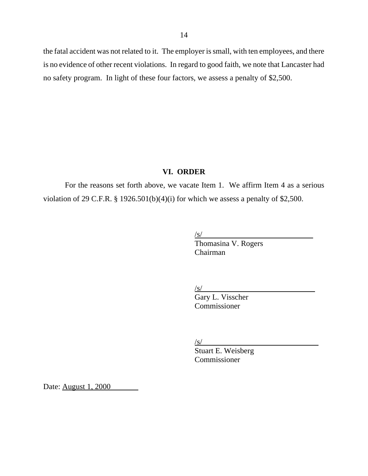the fatal accident was not related to it. The employer is small, with ten employees, and there is no evidence of other recent violations. In regard to good faith, we note that Lancaster had no safety program. In light of these four factors, we assess a penalty of \$2,500.

## **VI. ORDER**

For the reasons set forth above, we vacate Item 1. We affirm Item 4 as a serious violation of 29 C.F.R. § 1926.501(b)(4)(i) for which we assess a penalty of \$2,500.

 $\sqrt{s}$ /

 Thomasina V. Rogers Chairman

 $\sqrt{s/2}$ 

Gary L. Visscher Commissioner

/s/

Stuart E. Weisberg Commissioner

Date: August 1, 2000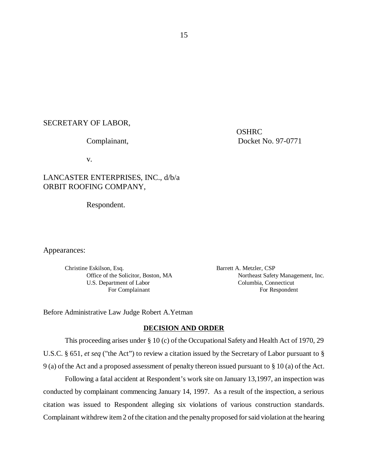#### SECRETARY OF LABOR,

**OSHRC** Complainant, Docket No. 97-0771

v.

# LANCASTER ENTERPRISES, INC., d/b/a ORBIT ROOFING COMPANY,

Respondent.

Appearances:

Christine Eskilson, Esq. Barrett A. Metzler, CSP U.S. Department of Labor Columbia, Connecticut

Office of the Solicitor, Boston, MA Northeast Safety Management, Inc. For Complainant For Respondent

Before Administrative Law Judge Robert A.Yetman

#### **DECISION AND ORDER**

This proceeding arises under § 10 (c) of the Occupational Safety and Health Act of 1970, 29 U.S.C. § 651, *et seq* ("the Act") to review a citation issued by the Secretary of Labor pursuant to § 9 (a) of the Act and a proposed assessment of penalty thereon issued pursuant to § 10 (a) of the Act.

Following a fatal accident at Respondent's work site on January 13,1997, an inspection was conducted by complainant commencing January 14, 1997. As a result of the inspection, a serious citation was issued to Respondent alleging six violations of various construction standards. Complainant withdrew item 2 of the citation and the penalty proposed for said violation at the hearing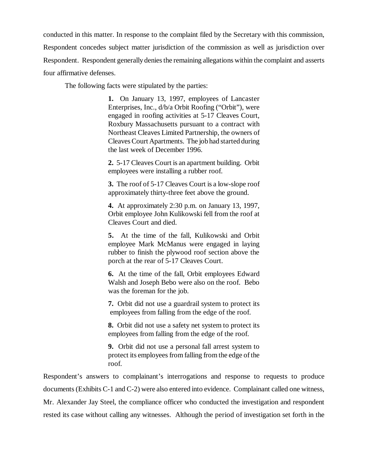conducted in this matter. In response to the complaint filed by the Secretary with this commission, Respondent concedes subject matter jurisdiction of the commission as well as jurisdiction over Respondent. Respondent generally denies the remaining allegations within the complaint and asserts four affirmative defenses.

The following facts were stipulated by the parties:

**1.** On January 13, 1997, employees of Lancaster Enterprises, Inc., d/b/a Orbit Roofing ("Orbit"), were engaged in roofing activities at 5-17 Cleaves Court, Roxbury Massachusetts pursuant to a contract with Northeast Cleaves Limited Partnership, the owners of Cleaves Court Apartments. The job had started during the last week of December 1996.

**2.** 5-17 Cleaves Court is an apartment building. Orbit employees were installing a rubber roof.

**3.** The roof of 5-17 Cleaves Court is a low-slope roof approximately thirty-three feet above the ground.

**4.** At approximately 2:30 p.m. on January 13, 1997, Orbit employee John Kulikowski fell from the roof at Cleaves Court and died.

**5.** At the time of the fall, Kulikowski and Orbit employee Mark McManus were engaged in laying rubber to finish the plywood roof section above the porch at the rear of 5-17 Cleaves Court.

**6.** At the time of the fall, Orbit employees Edward Walsh and Joseph Bebo were also on the roof. Bebo was the foreman for the job.

**7.** Orbit did not use a guardrail system to protect its employees from falling from the edge of the roof.

**8.** Orbit did not use a safety net system to protect its employees from falling from the edge of the roof.

**9.** Orbit did not use a personal fall arrest system to protect its employees from falling from the edge of the roof.

Respondent's answers to complainant's interrogations and response to requests to produce documents (Exhibits C-1 and C-2) were also entered into evidence. Complainant called one witness, Mr. Alexander Jay Steel, the compliance officer who conducted the investigation and respondent rested its case without calling any witnesses. Although the period of investigation set forth in the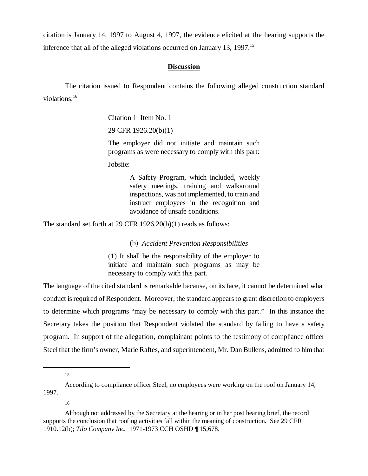citation is January 14, 1997 to August 4, 1997, the evidence elicited at the hearing supports the inference that all of the alleged violations occurred on January 13, 1997.<sup>15</sup>

## **Discussion**

The citation issued to Respondent contains the following alleged construction standard violations:16

Citation 1 Item No. 1

29 CFR 1926.20(b)(1)

The employer did not initiate and maintain such programs as were necessary to comply with this part:

Jobsite:

A Safety Program, which included, weekly safety meetings, training and walkaround inspections, was not implemented, to train and instruct employees in the recognition and avoidance of unsafe conditions.

The standard set forth at 29 CFR 1926.20(b)(1) reads as follows:

(b) *Accident Prevention Responsibilities*

(1) It shall be the responsibility of the employer to initiate and maintain such programs as may be necessary to comply with this part.

The language of the cited standard is remarkable because, on its face, it cannot be determined what conduct is required of Respondent. Moreover, the standard appears to grant discretion to employers to determine which programs "may be necessary to comply with this part." In this instance the Secretary takes the position that Respondent violated the standard by failing to have a safety program. In support of the allegation, complainant points to the testimony of compliance officer Steel that the firm's owner, Marie Raftes, and superintendent, Mr. Dan Bullens, admitted to him that

15

16

According to compliance officer Steel, no employees were working on the roof on January 14, 1997.

Although not addressed by the Secretary at the hearing or in her post hearing brief, the record supports the conclusion that roofing activities fall within the meaning of construction. See 29 CFR 1910.12(b); *Tilo Company Inc.* 1971-1973 CCH OSHD ¶ 15,678.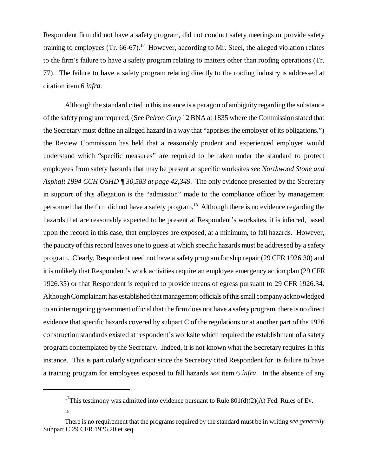Respondent firm did not have a safety program, did not conduct safety meetings or provide safety training to employees (Tr. 66-67).<sup>17</sup> However, according to Mr. Steel, the alleged violation relates to the firm's failure to have a safety program relating to matters other than roofing operations (Tr. 77). The failure to have a safety program relating directly to the roofing industry is addressed at citation item 6 *infra*.

Although the standard cited in this instance is a paragon of ambiguity regarding the substance of the safety program required, (See *Pelron Corp* 12 BNA at 1835 where the Commission stated that the Secretary must define an alleged hazard in a way that "apprises the employer of its obligations.") the Review Commission has held that a reasonably prudent and experienced employer would understand which "specific measures" are required to be taken under the standard to protect employees from safety hazards that may be present at specific worksites *see Northwood Stone and Asphalt 1994 CCH OSHD ¶ 30,583 at page 42,349.* The only evidence presented by the Secretary in support of this allegation is the "admission" made to the compliance officer by management personnel that the firm did not have a safety program.18 Although there is no evidence regarding the hazards that are reasonably expected to be present at Respondent's worksites, it is inferred, based upon the record in this case, that employees are exposed, at a minimum, to fall hazards. However, the paucity of this record leaves one to guess at which specific hazards must be addressed by a safety program. Clearly, Respondent need not have a safety program for ship repair (29 CFR 1926.30) and it is unlikely that Respondent's work activities require an employee emergency action plan (29 CFR 1926.35) or that Respondent is required to provide means of egress pursuant to 29 CFR 1926.34. Although Complainant has established that management officials of this small company acknowledged to an interrogating government official that the firm does not have a safety program, there is no direct evidence that specific hazards covered by subpart C of the regulations or at another part of the 1926 construction standards existed at respondent's worksite which required the establishment of a safety program contemplated by the Secretary. Indeed, it is not known what the Secretary requires in this instance. This is particularly significant since the Secretary cited Respondent for its failure to have a training program for employees exposed to fall hazards *see* item 6 *infra*. In the absence of any

<sup>&</sup>lt;sup>17</sup>This testimony was admitted into evidence pursuant to Rule  $801(d)(2)(A)$  Fed. Rules of Ev.

<sup>18</sup>

There is no requirement that the programs required by the standard must be in writing *see generally* Subpart C 29 CFR 1926.20 et seq.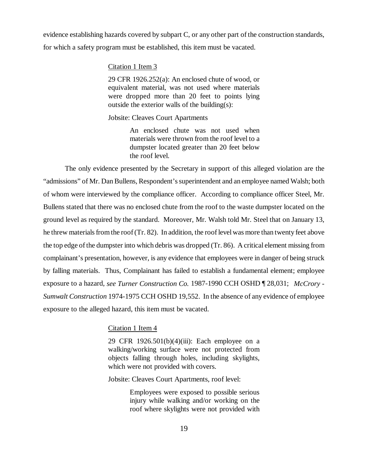evidence establishing hazards covered by subpart C, or any other part of the construction standards, for which a safety program must be established, this item must be vacated.

#### Citation 1 Item 3

29 CFR 1926.252(a): An enclosed chute of wood, or equivalent material, was not used where materials were dropped more than 20 feet to points lying outside the exterior walls of the building $(s)$ :

Jobsite: Cleaves Court Apartments

An enclosed chute was not used when materials were thrown from the roof level to a dumpster located greater than 20 feet below the roof level.

The only evidence presented by the Secretary in support of this alleged violation are the "admissions" of Mr. Dan Bullens, Respondent's superintendent and an employee named Walsh; both of whom were interviewed by the compliance officer. According to compliance officer Steel, Mr. Bullens stated that there was no enclosed chute from the roof to the waste dumpster located on the ground level as required by the standard. Moreover, Mr. Walsh told Mr. Steel that on January 13, he threw materials from the roof (Tr. 82). In addition, the roof level was more than twenty feet above the top edge of the dumpster into which debris was dropped (Tr. 86). A critical element missing from complainant's presentation, however, is any evidence that employees were in danger of being struck by falling materials. Thus, Complainant has failed to establish a fundamental element; employee exposure to a hazard, *see Turner Construction Co.* 1987-1990 CCH OSHD ¶ 28,031; *McCrory - Sumwalt Construction* 1974-1975 CCH OSHD 19,552. In the absence of any evidence of employee exposure to the alleged hazard, this item must be vacated.

#### Citation 1 Item 4

29 CFR 1926.501(b)(4)(iii): Each employee on a walking/working surface were not protected from objects falling through holes, including skylights, which were not provided with covers.

Jobsite: Cleaves Court Apartments, roof level:

Employees were exposed to possible serious injury while walking and/or working on the roof where skylights were not provided with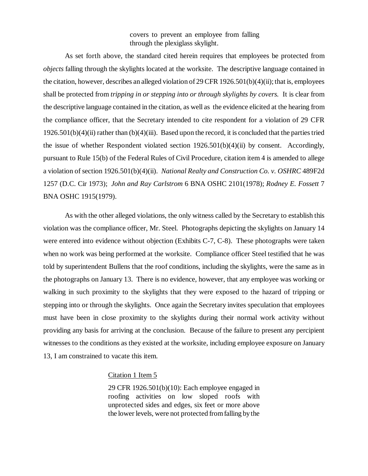covers to prevent an employee from falling through the plexiglass skylight.

As set forth above, the standard cited herein requires that employees be protected from *objects* falling through the skylights located at the worksite. The descriptive language contained in the citation, however, describes an alleged violation of 29 CFR 1926.501(b)(4)(ii); that is, employees shall be protected from *tripping in or stepping into or through skylights by covers.* It is clear from the descriptive language contained in the citation, as well as the evidence elicited at the hearing from the compliance officer, that the Secretary intended to cite respondent for a violation of 29 CFR  $1926.501(b)(4)(ii)$  rather than  $(b)(4)(iii)$ . Based upon the record, it is concluded that the parties tried the issue of whether Respondent violated section 1926.501(b)(4)(ii) by consent. Accordingly, pursuant to Rule 15(b) of the Federal Rules of Civil Procedure, citation item 4 is amended to allege a violation of section 1926.501(b)(4)(ii). *National Realty and Construction Co. v. OSHRC* 489F2d 1257 (D.C. Cir 1973); *John and Ray Carlstrom* 6 BNA OSHC 2101(1978); *Rodney E. Fossett* 7 BNA OSHC 1915(1979).

As with the other alleged violations, the only witness called by the Secretary to establish this violation was the compliance officer, Mr. Steel. Photographs depicting the skylights on January 14 were entered into evidence without objection (Exhibits C-7, C-8). These photographs were taken when no work was being performed at the worksite. Compliance officer Steel testified that he was told by superintendent Bullens that the roof conditions, including the skylights, were the same as in the photographs on January 13. There is no evidence, however, that any employee was working or walking in such proximity to the skylights that they were exposed to the hazard of tripping or stepping into or through the skylights. Once again the Secretary invites speculation that employees must have been in close proximity to the skylights during their normal work activity without providing any basis for arriving at the conclusion. Because of the failure to present any percipient witnesses to the conditions as they existed at the worksite, including employee exposure on January 13, I am constrained to vacate this item.

#### Citation 1 Item 5

29 CFR 1926.501(b)(10): Each employee engaged in roofing activities on low sloped roofs with unprotected sides and edges, six feet or more above the lower levels, were not protected from falling by the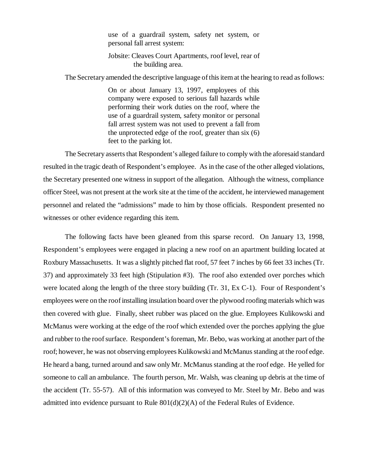use of a guardrail system, safety net system, or personal fall arrest system:

#### Jobsite: Cleaves Court Apartments, roof level, rear of the building area.

The Secretary amended the descriptive language of this item at the hearing to read as follows:

On or about January 13, 1997, employees of this company were exposed to serious fall hazards while performing their work duties on the roof, where the use of a guardrail system, safety monitor or personal fall arrest system was not used to prevent a fall from the unprotected edge of the roof, greater than six (6) feet to the parking lot.

The Secretary asserts that Respondent's alleged failure to comply with the aforesaid standard resulted in the tragic death of Respondent's employee. As in the case of the other alleged violations, the Secretary presented one witness in support of the allegation. Although the witness, compliance officer Steel, was not present at the work site at the time of the accident, he interviewed management personnel and related the "admissions" made to him by those officials. Respondent presented no witnesses or other evidence regarding this item.

The following facts have been gleaned from this sparse record. On January 13, 1998, Respondent's employees were engaged in placing a new roof on an apartment building located at Roxbury Massachusetts. It was a slightly pitched flat roof, 57 feet 7 inches by 66 feet 33 inches (Tr. 37) and approximately 33 feet high (Stipulation #3). The roof also extended over porches which were located along the length of the three story building (Tr. 31, Ex C-1). Four of Respondent's employees were on the roof installing insulation board over the plywood roofing materials which was then covered with glue. Finally, sheet rubber was placed on the glue. Employees Kulikowski and McManus were working at the edge of the roof which extended over the porches applying the glue and rubber to the roof surface. Respondent's foreman, Mr. Bebo, was working at another part of the roof; however, he was not observing employees Kulikowski and McManus standing at the roof edge. He heard a bang, turned around and saw only Mr. McManus standing at the roof edge. He yelled for someone to call an ambulance. The fourth person, Mr. Walsh, was cleaning up debris at the time of the accident (Tr. 55-57). All of this information was conveyed to Mr. Steel by Mr. Bebo and was admitted into evidence pursuant to Rule 801(d)(2)(A) of the Federal Rules of Evidence.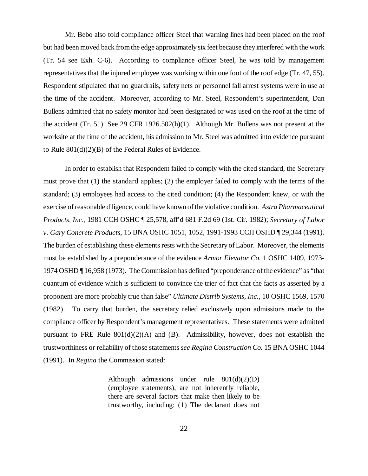Mr. Bebo also told compliance officer Steel that warning lines had been placed on the roof but had been moved back from the edge approximately six feet because they interfered with the work (Tr. 54 see Exh. C-6). According to compliance officer Steel, he was told by management representatives that the injured employee was working within one foot of the roof edge (Tr. 47, 55). Respondent stipulated that no guardrails, safety nets or personnel fall arrest systems were in use at the time of the accident. Moreover, according to Mr. Steel, Respondent's superintendent, Dan Bullens admitted that no safety monitor had been designated or was used on the roof at the time of the accident (Tr. 51) See 29 CFR 1926.502(h)(1). Although Mr. Bullens was not present at the worksite at the time of the accident, his admission to Mr. Steel was admitted into evidence pursuant to Rule 801(d)(2)(B) of the Federal Rules of Evidence.

In order to establish that Respondent failed to comply with the cited standard, the Secretary must prove that (1) the standard applies; (2) the employer failed to comply with the terms of the standard; (3) employees had access to the cited condition; (4) the Respondent knew, or with the exercise of reasonable diligence, could have known of the violative condition. *Astra Pharmaceutical Products, Inc.,* 1981 CCH OSHC ¶ 25,578, aff'd 681 F.2d 69 (1st. Cir. 1982); *Secretary of Labor v. Gary Concrete Products,* 15 BNA OSHC 1051, 1052, 1991-1993 CCH OSHD ¶ 29,344 (1991). The burden of establishing these elements rests with the Secretary of Labor. Moreover, the elements must be established by a preponderance of the evidence *Armor Elevator Co.* 1 OSHC 1409, 1973- 1974 OSHD ¶ 16,958 (1973). The Commission has defined "preponderance of the evidence" as "that quantum of evidence which is sufficient to convince the trier of fact that the facts as asserted by a proponent are more probably true than false" *Ultimate Distrib Systems, Inc.,* 10 OSHC 1569, 1570 (1982). To carry that burden, the secretary relied exclusively upon admissions made to the compliance officer by Respondent's management representatives. These statements were admitted pursuant to FRE Rule  $801(d)(2)(A)$  and (B). Admissibility, however, does not establish the trustworthiness or reliability of those statements *see Regina Construction Co.* 15 BNA OSHC 1044 (1991). In *Regina* the Commission stated:

> Although admissions under rule  $801(d)(2)(D)$ (employee statements), are not inherently reliable, there are several factors that make then likely to be trustworthy, including: (1) The declarant does not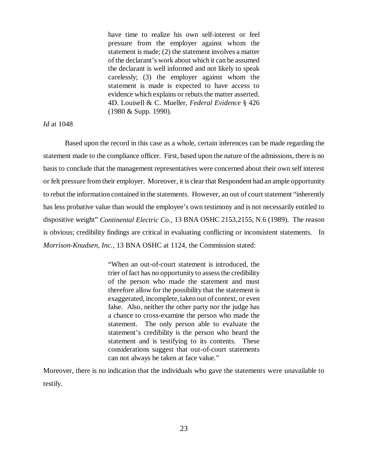have time to realize his own self-interest or feel pressure from the employer against whom the statement is made; (2) the statement involves a matter of the declarant's work about which it can be assumed the declarant is well informed and not likely to speak carelessly; (3) the employer against whom the statement is made is expected to have access to evidence which explains or rebuts the matter asserted. 4D. Louisell & C. Mueller, *Federal Evidence* § 426 (1980 & Supp. 1990).

#### *Id* at 1048

Based upon the record in this case as a whole, certain inferences can be made regarding the statement made to the compliance officer*.* First, based upon the nature of the admissions, there is no basis to conclude that the management representatives were concerned about their own self interest or felt pressure from their employer. Moreover, it is clear that Respondent had an ample opportunity to rebut the information contained in the statements. However, an out of court statement "inherently has less probative value than would the employee's own testimony and is not necessarily entitled to dispositive weight" *Continental Electric Co.,* 13 BNA OSHC 2153,2155, N.6 (1989). The reason is obvious; credibility findings are critical in evaluating conflicting or inconsistent statements. In *Morrison-Knudsen, Inc.,* 13 BNA OSHC at 1124, the Commission stated:

> "When an out-of-court statement is introduced, the trier of fact has no opportunity to assess the credibility of the person who made the statement and must therefore allow for the possibility that the statement is exaggerated, incomplete, taken out of context, or even false. Also, neither the other party nor the judge has a chance to cross-examine the person who made the statement. The only person able to evaluate the statement's credibility is the person who heard the statement and is testifying to its contents. These considerations suggest that out-of-court statements can not always be taken at face value."

Moreover, there is no indication that the individuals who gave the statements were unavailable to testify.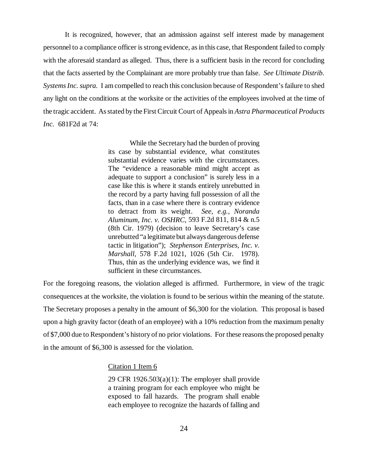It is recognized, however, that an admission against self interest made by management personnel to a compliance officer is strong evidence, as in this case, that Respondent failed to comply with the aforesaid standard as alleged. Thus, there is a sufficient basis in the record for concluding that the facts asserted by the Complainant are more probably true than false. *See Ultimate Distrib. Systems Inc. supra.* I am compelled to reach this conclusion because of Respondent's failure to shed any light on the conditions at the worksite or the activities of the employees involved at the time of the tragic accident. As stated by the First Circuit Court of Appeals in *Astra Pharmaceutical Products Inc.* 681F2d at 74:

> While the Secretary had the burden of proving its case by substantial evidence, what constitutes substantial evidence varies with the circumstances. The "evidence a reasonable mind might accept as adequate to support a conclusion" is surely less in a case like this is where it stands entirely unrebutted in the record by a party having full possession of all the facts, than in a case where there is contrary evidence to detract from its weight. *See, e.g., Noranda Aluminum, Inc. v. OSHRC,* 593 F.2d 811, 814 & n.5 (8th Cir. 1979) (decision to leave Secretary's case unrebutted "a legitimate but always dangerous defense tactic in litigation"); *Stephenson Enterprises, Inc. v. Marshall,* 578 F.2d 1021, 1026 (5th Cir. 1978). Thus, thin as the underlying evidence was, we find it sufficient in these circumstances.

For the foregoing reasons, the violation alleged is affirmed. Furthermore, in view of the tragic consequences at the worksite, the violation is found to be serious within the meaning of the statute. The Secretary proposes a penalty in the amount of \$6,300 for the violation. This proposal is based upon a high gravity factor (death of an employee) with a 10% reduction from the maximum penalty of \$7,000 due to Respondent's history of no prior violations. For these reasons the proposed penalty in the amount of \$6,300 is assessed for the violation.

#### Citation 1 Item 6

29 CFR 1926.503 $(a)(1)$ : The employer shall provide a training program for each employee who might be exposed to fall hazards. The program shall enable each employee to recognize the hazards of falling and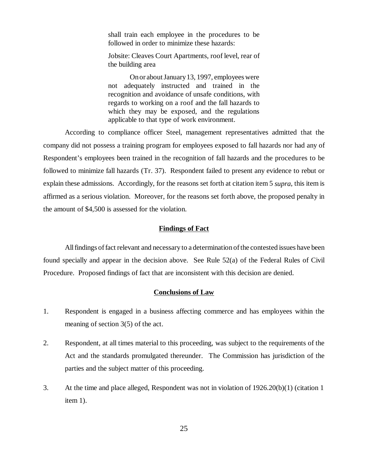shall train each employee in the procedures to be followed in order to minimize these hazards:

Jobsite: Cleaves Court Apartments, roof level, rear of the building area

On or about January 13, 1997, employees were not adequately instructed and trained in the recognition and avoidance of unsafe conditions, with regards to working on a roof and the fall hazards to which they may be exposed, and the regulations applicable to that type of work environment.

According to compliance officer Steel, management representatives admitted that the company did not possess a training program for employees exposed to fall hazards nor had any of Respondent's employees been trained in the recognition of fall hazards and the procedures to be followed to minimize fall hazards (Tr. 37). Respondent failed to present any evidence to rebut or explain these admissions. Accordingly, for the reasons set forth at citation item 5 *supra*, this item is affirmed as a serious violation. Moreover, for the reasons set forth above, the proposed penalty in the amount of \$4,500 is assessed for the violation.

#### **Findings of Fact**

All findings of fact relevant and necessary to a determination of the contested issues have been found specially and appear in the decision above. See Rule 52(a) of the Federal Rules of Civil Procedure. Proposed findings of fact that are inconsistent with this decision are denied.

#### **Conclusions of Law**

- 1. Respondent is engaged in a business affecting commerce and has employees within the meaning of section 3(5) of the act.
- 2. Respondent, at all times material to this proceeding, was subject to the requirements of the Act and the standards promulgated thereunder. The Commission has jurisdiction of the parties and the subject matter of this proceeding.
- 3. At the time and place alleged, Respondent was not in violation of 1926.20(b)(1) (citation 1 item 1).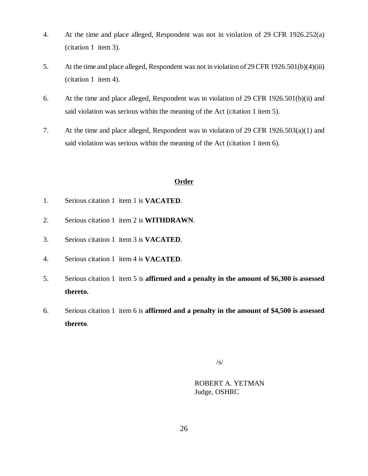- 4. At the time and place alleged, Respondent was not in violation of 29 CFR 1926.252(a) (citation 1 item 3).
- 5. At the time and place alleged, Respondent was not in violation of 29 CFR 1926.501(b)(4)(iii) (citation 1 item 4).
- 6. At the time and place alleged, Respondent was in violation of 29 CFR 1926.501(b)(ii) and said violation was serious within the meaning of the Act (citation 1 item 5).
- 7. At the time and place alleged, Respondent was in violation of 29 CFR 1926.503(a)(1) and said violation was serious within the meaning of the Act (citation 1 item 6).

## **Order**

- 1. Serious citation 1 item 1 is **VACATED**.
- 2. Serious citation 1 item 2 is **WITHDRAWN**.
- 3. Serious citation 1 item 3 is **VACATED**.
- 4. Serious citation 1 item 4 is **VACATED**.
- 5. Serious citation 1 item 5 is **affirmed and a penalty in the amount of \$6,300 is assessed thereto.**
- 6. Serious citation 1 item 6 is **affirmed and a penalty in the amount of \$4,500 is assessed thereto**.

/s/

ROBERT A. YETMAN Judge, OSHRC